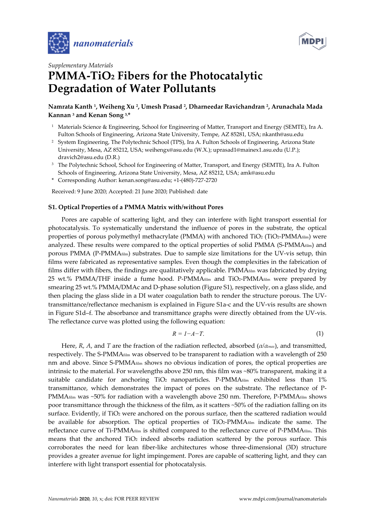



## *Supplementary Materials*  **PMMA-TiO2 Fibers for the Photocatalytic Degradation of Water Pollutants**

## **Namrata Kanth 1, Weiheng Xu 2, Umesh Prasad 2, Dharneedar Ravichandran 2, Arunachala Mada Kannan 3 and Kenan Song 3,\***

- 1 Materials Science & Engineering, School for Engineering of Matter, Transport and Energy (SEMTE), Ira A. Fulton Schools of Engineering, Arizona State University, Tempe, AZ 85281, USA; nkanth@asu.edu
- 2 System Engineering, The Polytechnic School (TPS), Ira A. Fulton Schools of Engineering, Arizona State University, Mesa, AZ 85212, USA; weihengx@asu.edu (W.X.); uprasad1@mainex1.asu.edu (U.P.); dravich2@asu.edu (D.R.)
- <sup>3</sup> The Polytechnic School, School for Engineering of Matter, Transport, and Energy (SEMTE), Ira A. Fulton Schools of Engineering, Arizona State University, Mesa, AZ 85212, USA; amk@asu.edu
- \* Corresponding Author: kenan.song@asu.edu; +1-(480)-727-2720

Received: 9 June 2020; Accepted: 21 June 2020; Published: date

## **S1. Optical Properties of a PMMA Matrix with/without Pores**

Pores are capable of scattering light, and they can interfere with light transport essential for photocatalysis. To systematically understand the influence of pores in the substrate, the optical properties of porous polymethyl methacrylate (PMMA) with anchored TiO<sub>2</sub> (TiO<sub>2</sub>-PMMA $\text{film}$ ) were analyzed. These results were compared to the optical properties of solid PMMA (S-PMMAfilm) and porous PMMA (P-PMMAfilm) substrates. Due to sample size limitations for the UV-vis setup, thin films were fabricated as representative samples. Even though the complexities in the fabrication of films differ with fibers, the findings are qualitatively applicable. PMMA $_{\text{film}}$  was fabricated by drying 25 wt.% PMMA/THF inside a fume hood. P-PMMA $f_{\text{film}}$  and TiO2-PMMA $f_{\text{film}}$  were prepared by smearing 25 wt.% PMMA/DMAc and D-phase solution (Figure S1), respectively, on a glass slide, and then placing the glass slide in a DI water coagulation bath to render the structure porous. The UVtransmittance/reflectance mechanism is explained in Figure S1a-c and the UV-vis results are shown in Figure S1d–f. The absorbance and transmittance graphs were directly obtained from the UV-vis. The reflectance curve was plotted using the following equation:

$$
R = I - A - T.\tag{1}
$$

Here, *R*, *A*, and *T* are the fraction of the radiation reflected, absorbed (*α/αmax*), and transmitted, respectively. The S-PMMAfilm was observed to be transparent to radiation with a wavelength of 250 nm and above. Since S-PMMAfilm shows no obvious indication of pores, the optical properties are intrinsic to the material. For wavelengths above 250 nm, this film was ~80% transparent, making it a suitable candidate for anchoring  $TiO<sub>2</sub>$  nanoparticles. P-PMMA $_{\text{film}}$  exhibited less than 1% transmittance, which demonstrates the impact of pores on the substrate. The reflectance of P-PMMA $f_{\text{film}}$  was ~50% for radiation with a wavelength above 250 nm. Therefore, P-PMMA $f_{\text{film}}$  shows poor transmittance through the thickness of the film, as it scatters ~50% of the radiation falling on its surface. Evidently, if TiO<sub>2</sub> were anchored on the porous surface, then the scattered radiation would be available for absorption. The optical properties of TiO2-PMMA $_{\text{film}}$  indicate the same. The reflectance curve of Ti-PMMAfilm is shifted compared to the reflectance curve of P-PMMAfilm. This means that the anchored  $TiO<sub>2</sub>$  indeed absorbs radiation scattered by the porous surface. This corroborates the need for lean fiber-like architectures whose three-dimensional (3D) structure provides a greater avenue for light impingement. Pores are capable of scattering light, and they can interfere with light transport essential for photocatalysis.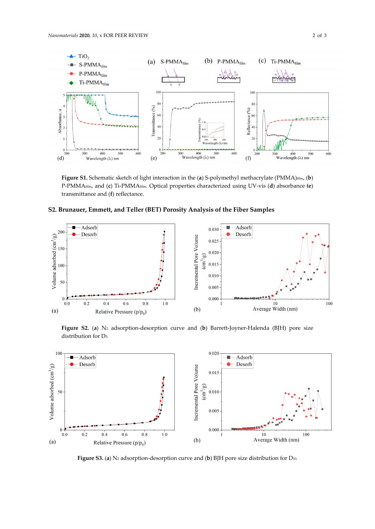

**Figure S1.** Schematic sketch of light interaction in the (**a**) S-polymethyl methacrylate (PMMA)film, (**b**) P-PMMAfilm, and (**c**) Ti-PMMAfilm. Optical properties characterized using UV-vis (**d**) absorbance **(e**) transmittance and (**f**) reflectance.





**Figure S2.** (**a**) N2 adsorption-desorption curve and (**b**) Barrett-Joyner-Halenda (BJH) pore size distribution for D5.



Figure S3. (a) N<sub>2</sub> adsorption-desorption curve and (b) BJH pore size distribution for D<sub>10.</sub>